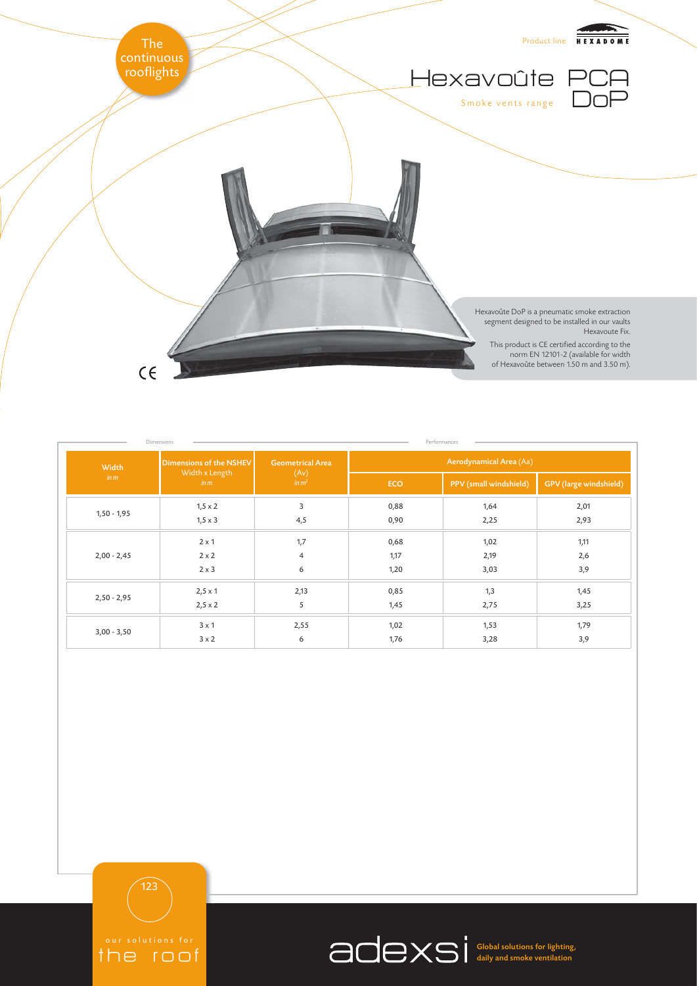

| Dimensions    |                                                   |                                               |                         | Performances           |                        |  |
|---------------|---------------------------------------------------|-----------------------------------------------|-------------------------|------------------------|------------------------|--|
| Width<br>in m | Dimensions of the NSHEV<br>Width x Length<br>in m | <b>Geometrical Area</b><br>(Av)<br>$\sin m^2$ | Aerodynamical Area (Aa) |                        |                        |  |
|               |                                                   |                                               | <b>ECO</b>              | PPV (small windshield) | GPV (large windshield) |  |
| $1,50 - 1,95$ | $1,5 \times 2$                                    | 3                                             | 0,88                    | 1,64                   | 2,01                   |  |
|               | $1,5 \times 3$                                    | 4,5                                           | 0,90                    | 2,25                   | 2,93                   |  |
| $2,00 - 2,45$ | $2 \times 1$                                      | 1,7                                           | 0,68                    | 1,02                   | 1,11                   |  |
|               | $2 \times 2$                                      | $\overline{4}$                                | 1,17                    | 2,19                   | 2,6                    |  |
|               | $2 \times 3$                                      | 6                                             | 1,20                    | 3,03                   | 3,9                    |  |
| $2,50 - 2,95$ | $2,5 \times 1$                                    | 2,13                                          | 0,85                    | 1,3                    | 1,45                   |  |
|               | $2,5 \times 2$                                    | 5                                             | 1,45                    | 2,75                   | 3,25                   |  |
| $3,00 - 3,50$ | $3 \times 1$                                      | 2,55                                          | 1,02                    | 1,53                   | 1,79                   |  |
|               | $3 \times 2$                                      | 6                                             | 1,76                    | 3,28                   | 3,9                    |  |

123

the roof

Global solutions for lighting, daily and smoke ventilation